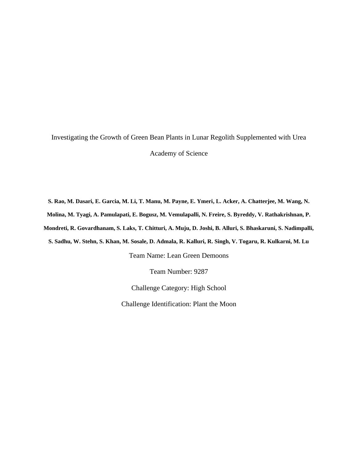Investigating the Growth of Green Bean Plants in Lunar Regolith Supplemented with Urea Academy of Science

**S. Rao, M. Dasari, E. Garcia, M. Li, T. Manu, M. Payne, E. Ymeri, L. Acker, A. Chatterjee, M. Wang, N. Molina, M. Tyagi, A. Pamulapati, E. Bogusz, M. Vemulapalli, N. Freire, S. Byreddy, V. Rathakrishnan, P. Mondreti, R. Govardhanam, S. Laks, T. Chitturi, A. Muju, D. Joshi, B. Alluri, S. Bhaskaruni, S. Nadimpalli, S. Sadhu, W. Stehn, S. Khan, M. Sosale, D. Admala, R. Kalluri, R. Singh, V. Togaru, R. Kulkarni, M. Lu**

Team Name: Lean Green Demoons

Team Number: 9287

Challenge Category: High School

Challenge Identification: Plant the Moon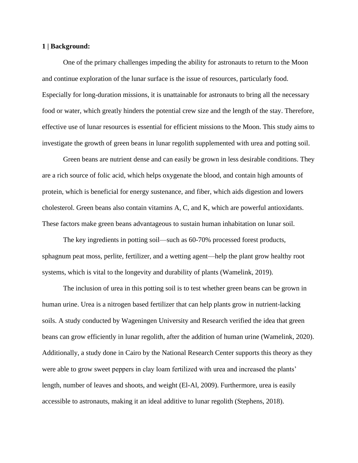#### **1 | Background:**

One of the primary challenges impeding the ability for astronauts to return to the Moon and continue exploration of the lunar surface is the issue of resources, particularly food. Especially for long-duration missions, it is unattainable for astronauts to bring all the necessary food or water, which greatly hinders the potential crew size and the length of the stay. Therefore, effective use of lunar resources is essential for efficient missions to the Moon. This study aims to investigate the growth of green beans in lunar regolith supplemented with urea and potting soil.

Green beans are nutrient dense and can easily be grown in less desirable conditions. They are a rich source of folic acid, which helps oxygenate the blood, and contain high amounts of protein, which is beneficial for energy sustenance, and fiber, which aids digestion and lowers cholesterol. Green beans also contain vitamins A, C, and K, which are powerful antioxidants. These factors make green beans advantageous to sustain human inhabitation on lunar soil.

The key ingredients in potting soil—such as 60-70% processed forest products, sphagnum peat moss, perlite, fertilizer, and a wetting agent—help the plant grow healthy root systems, which is vital to the longevity and durability of plants (Wamelink, 2019).

The inclusion of urea in this potting soil is to test whether green beans can be grown in human urine. Urea is a nitrogen based fertilizer that can help plants grow in nutrient-lacking soils. A study conducted by Wageningen University and Research verified the idea that green beans can grow efficiently in lunar regolith, after the addition of human urine (Wamelink, 2020). Additionally, a study done in Cairo by the National Research Center supports this theory as they were able to grow sweet peppers in clay loam fertilized with urea and increased the plants' length, number of leaves and shoots, and weight (El-Al, 2009). Furthermore, urea is easily accessible to astronauts, making it an ideal additive to lunar regolith (Stephens, 2018).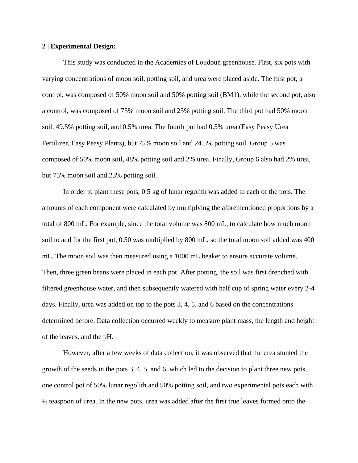#### **2 | Experimental Design:**

This study was conducted in the Academies of Loudoun greenhouse. First, six pots with varying concentrations of moon soil, potting soil, and urea were placed aside. The first pot, a control, was composed of 50% moon soil and 50% potting soil (BM1), while the second pot, also a control, was composed of 75% moon soil and 25% potting soil. The third pot had 50% moon soil, 49.5% potting soil, and 0.5% urea. The fourth pot had 0.5% urea (Easy Peasy Urea Fertilizer, Easy Peasy Plants), but 75% moon soil and 24.5% potting soil. Group 5 was composed of 50% moon soil, 48% potting soil and 2% urea. Finally, Group 6 also had 2% urea, but 75% moon soil and 23% potting soil.

In order to plant these pots, 0.5 kg of lunar regolith was added to each of the pots. The amounts of each component were calculated by multiplying the aforementioned proportions by a total of 800 mL. For example, since the total volume was 800 mL, to calculate how much moon soil to add for the first pot, 0.50 was multiplied by 800 mL, so the total moon soil added was 400 mL. The moon soil was then measured using a 1000 mL beaker to ensure accurate volume. Then, three green beans were placed in each pot. After potting, the soil was first drenched with filtered greenhouse water, and then subsequently watered with half cup of spring water every 2-4 days. Finally, urea was added on top to the pots 3, 4, 5, and 6 based on the concentrations determined before. Data collection occurred weekly to measure plant mass, the length and height of the leaves, and the pH.

However, after a few weeks of data collection, it was observed that the urea stunted the growth of the seeds in the pots 3, 4, 5, and 6, which led to the decision to plant three new pots, one control pot of 50% lunar regolith and 50% potting soil, and two experimental pots each with ½ teaspoon of urea. In the new pots, urea was added after the first true leaves formed onto the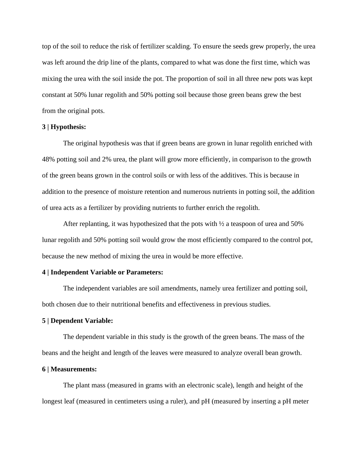top of the soil to reduce the risk of fertilizer scalding. To ensure the seeds grew properly, the urea was left around the drip line of the plants, compared to what was done the first time, which was mixing the urea with the soil inside the pot. The proportion of soil in all three new pots was kept constant at 50% lunar regolith and 50% potting soil because those green beans grew the best from the original pots.

#### **3 | Hypothesis:**

The original hypothesis was that if green beans are grown in lunar regolith enriched with 48% potting soil and 2% urea, the plant will grow more efficiently, in comparison to the growth of the green beans grown in the control soils or with less of the additives. This is because in addition to the presence of moisture retention and numerous nutrients in potting soil, the addition of urea acts as a fertilizer by providing nutrients to further enrich the regolith.

After replanting, it was hypothesized that the pots with ½ a teaspoon of urea and 50% lunar regolith and 50% potting soil would grow the most efficiently compared to the control pot, because the new method of mixing the urea in would be more effective.

#### **4 | Independent Variable or Parameters:**

The independent variables are soil amendments, namely urea fertilizer and potting soil, both chosen due to their nutritional benefits and effectiveness in previous studies.

#### **5 | Dependent Variable:**

The dependent variable in this study is the growth of the green beans. The mass of the beans and the height and length of the leaves were measured to analyze overall bean growth.

#### **6 | Measurements:**

The plant mass (measured in grams with an electronic scale), length and height of the longest leaf (measured in centimeters using a ruler), and pH (measured by inserting a pH meter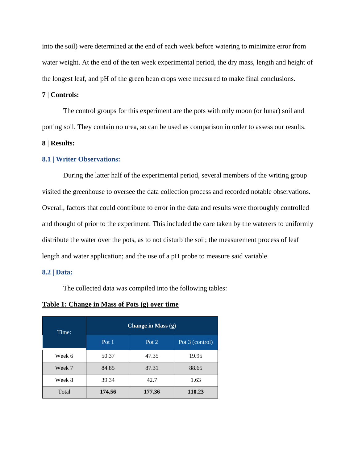into the soil) were determined at the end of each week before watering to minimize error from water weight. At the end of the ten week experimental period, the dry mass, length and height of the longest leaf, and pH of the green bean crops were measured to make final conclusions.

#### **7 | Controls:**

The control groups for this experiment are the pots with only moon (or lunar) soil and potting soil. They contain no urea, so can be used as comparison in order to assess our results.

#### **8 | Results:**

#### **8.1 | Writer Observations:**

During the latter half of the experimental period, several members of the writing group visited the greenhouse to oversee the data collection process and recorded notable observations. Overall, factors that could contribute to error in the data and results were thoroughly controlled and thought of prior to the experiment. This included the care taken by the waterers to uniformly distribute the water over the pots, as to not disturb the soil; the measurement process of leaf length and water application; and the use of a pH probe to measure said variable.

#### **8.2 | Data:**

The collected data was compiled into the following tables:

#### **Table 1: Change in Mass of Pots (g) over time**

| Time:  | Change in Mass (g) |                  |                   |  |  |  |
|--------|--------------------|------------------|-------------------|--|--|--|
|        | Pot $1$            | Pot <sub>2</sub> | Pot $3$ (control) |  |  |  |
| Week 6 | 50.37              | 47.35            | 19.95             |  |  |  |
| Week 7 | 84.85              | 88.65<br>87.31   |                   |  |  |  |
| Week 8 | 39.34              | 42.7             | 1.63              |  |  |  |
| Total  | 174.56             | 177.36           | 110.23            |  |  |  |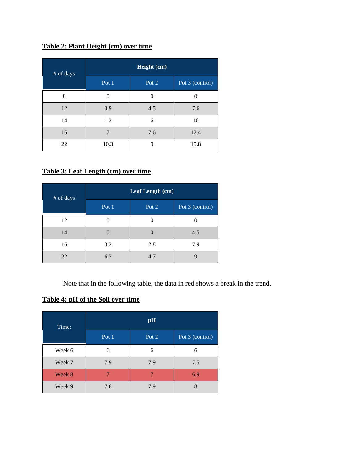## **Table 2: Plant Height (cm) over time**

| # of days | Height (cm) |       |                 |  |  |  |  |
|-----------|-------------|-------|-----------------|--|--|--|--|
|           | Pot 1       | Pot 2 | Pot 3 (control) |  |  |  |  |
| 8         | $\theta$    | 0     | ∩               |  |  |  |  |
| 12        | 0.9         | 4.5   | 7.6             |  |  |  |  |
| 14        | 1.2         | 6     | 10              |  |  |  |  |
| 16        | 7           | 7.6   | 12.4            |  |  |  |  |
| 22        | 10.3        | 9     | 15.8            |  |  |  |  |

## **Table 3: Leaf Length (cm) over time**

| # of days | Leaf Length (cm) |       |                 |  |  |  |
|-----------|------------------|-------|-----------------|--|--|--|
|           | Pot 1            | Pot 2 | Pot 3 (control) |  |  |  |
| 12        | 0                |       |                 |  |  |  |
| 14        | 0                |       | 4.5             |  |  |  |
| 16        | 3.2              | 2.8   | 7.9             |  |  |  |
| 22        | 6.7              | 4.7   |                 |  |  |  |

Note that in the following table, the data in red shows a break in the trend.

## **Table 4: pH of the Soil over time**

| Time:  | pH    |       |                 |  |  |  |  |
|--------|-------|-------|-----------------|--|--|--|--|
|        | Pot 1 | Pot 2 | Pot 3 (control) |  |  |  |  |
| Week 6 | 6     | 6     | 6               |  |  |  |  |
| Week 7 | 7.9   | 7.9   | 7.5             |  |  |  |  |
| Week 8 |       |       | 6.9             |  |  |  |  |
| Week 9 | 7.8   | 7.9   |                 |  |  |  |  |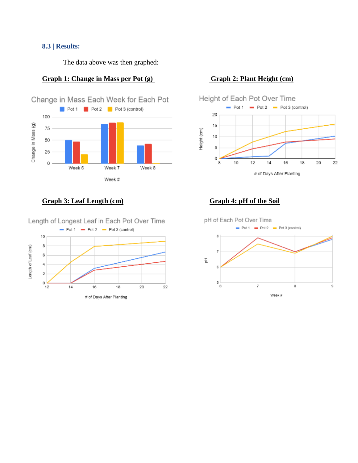### **8.3 | Results:**

The data above was then graphed:

# **Graph 1: Change in Mass per Pot (g) Graph 2: Plant Height (cm)**



## **Graph 3: Leaf Length (cm)** Graph 4: pH of the Soil

Length of Longest Leaf in Each Pot Over Time





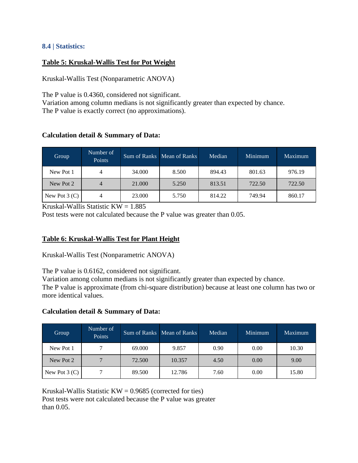## **8.4 | Statistics:**

## **Table 5: Kruskal-Wallis Test for Pot Weight**

Kruskal-Wallis Test (Nonparametric ANOVA)

The P value is 0.4360, considered not significant.

Variation among column medians is not significantly greater than expected by chance. The P value is exactly correct (no approximations).

## **Calculation detail & Summary of Data:**

| Group           | Number of<br>Points |        | Sum of Ranks   Mean of Ranks | Median | Minimum | <b>Maximum</b> |
|-----------------|---------------------|--------|------------------------------|--------|---------|----------------|
| New Pot 1       |                     | 34.000 | 8.500                        | 894.43 | 801.63  | 976.19         |
| New Pot 2       |                     | 21.000 | 5.250                        | 813.51 | 722.50  | 722.50         |
| New Pot $3$ (C) |                     | 23,000 | 5.750                        | 814.22 | 749.94  | 860.17         |

Kruskal-Wallis Statistic  $KW = 1.885$ 

Post tests were not calculated because the P value was greater than 0.05.

## **Table 6: Kruskal-Wallis Test for Plant Height**

Kruskal-Wallis Test (Nonparametric ANOVA)

The P value is 0.6162, considered not significant.

Variation among column medians is not significantly greater than expected by chance. The P value is approximate (from chi-square distribution) because at least one column has two or more identical values.

## **Calculation detail & Summary of Data:**

| Group           | Number of<br>Points |        | Sum of Ranks   Mean of Ranks | Median | Minimum | Maximum |
|-----------------|---------------------|--------|------------------------------|--------|---------|---------|
| New Pot 1       | 7                   | 69.000 | 9.857                        | 0.90   | 0.00    | 10.30   |
| New Pot 2       |                     | 72.500 | 10.357                       | 4.50   | 0.00    | 9.00    |
| New Pot $3$ (C) |                     | 89.500 | 12.786                       | 7.60   | 0.00    | 15.80   |

Kruskal-Wallis Statistic  $KW = 0.9685$  (corrected for ties) Post tests were not calculated because the P value was greater than 0.05.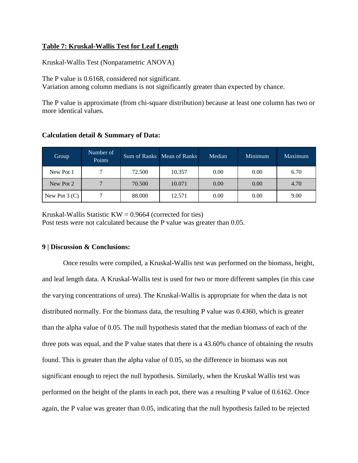### **Table 7: Kruskal-Wallis Test for Leaf Length**

Kruskal-Wallis Test (Nonparametric ANOVA)

The P value is 0.6168, considered not significant.

Variation among column medians is not significantly greater than expected by chance.

The P value is approximate (from chi-square distribution) because at least one column has two or more identical values.

| Group           | Number of<br>Points |        | Sum of Ranks Mean of Ranks | Median | Minimum | Maximum |
|-----------------|---------------------|--------|----------------------------|--------|---------|---------|
| New Pot 1       |                     | 72.500 | 10.357                     | 0.00   | 0.00    | 6.70    |
| New Pot 2       |                     | 70.500 | 10.071                     | 0.00   | 0.00    | 4.70    |
| New Pot $3$ (C) |                     | 88.000 | 12.571                     | 0.00   | 0.00    | 9.00    |

### **Calculation detail & Summary of Data:**

Kruskal-Wallis Statistic  $KW = 0.9664$  (corrected for ties) Post tests were not calculated because the P value was greater than 0.05.

#### **9 | Discussion & Conclusions:**

Once results were compiled, a Kruskal-Wallis test was performed on the biomass, height, and leaf length data. A Kruskal-Wallis test is used for two or more different samples (in this case the varying concentrations of urea). The Kruskal-Wallis is appropriate for when the data is not distributed normally. For the biomass data, the resulting P value was 0.4360, which is greater than the alpha value of 0.05. The null hypothesis stated that the median biomass of each of the three pots was equal, and the P value states that there is a 43.60% chance of obtaining the results found. This is greater than the alpha value of 0.05, so the difference in biomass was not significant enough to reject the null hypothesis. Similarly, when the Kruskal Wallis test was performed on the height of the plants in each pot, there was a resulting P value of 0.6162. Once again, the P value was greater than 0.05, indicating that the null hypothesis failed to be rejected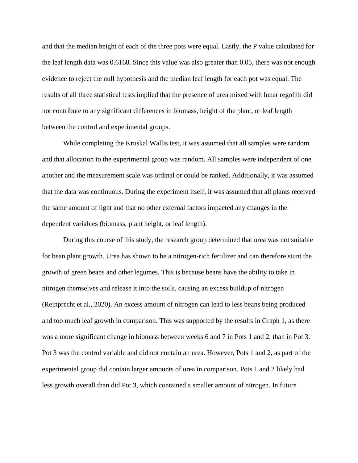and that the median height of each of the three pots were equal. Lastly, the P value calculated for the leaf length data was 0.6168. Since this value was also greater than 0.05, there was not enough evidence to reject the null hypothesis and the median leaf length for each pot was equal. The results of all three statistical tests implied that the presence of urea mixed with lunar regolith did not contribute to any significant differences in biomass, height of the plant, or leaf length between the control and experimental groups.

While completing the Kruskal Wallis test, it was assumed that all samples were random and that allocation to the experimental group was random. All samples were independent of one another and the measurement scale was ordinal or could be ranked. Additionally, it was assumed that the data was continuous. During the experiment itself, it was assumed that all plants received the same amount of light and that no other external factors impacted any changes in the dependent variables (biomass, plant height, or leaf length).

During this course of this study, the research group determined that urea was not suitable for bean plant growth. Urea has shown to be a nitrogen-rich fertilizer and can therefore stunt the growth of green beans and other legumes. This is because beans have the ability to take in nitrogen themselves and release it into the soils, causing an excess buildup of nitrogen (Reinprecht et al., 2020). An excess amount of nitrogen can lead to less beans being produced and too much leaf growth in comparison. This was supported by the results in Graph 1, as there was a more significant change in biomass between weeks 6 and 7 in Pots 1 and 2, than in Pot 3. Pot 3 was the control variable and did not contain an urea. However, Pots 1 and 2, as part of the experimental group did contain larger amounts of urea in comparison. Pots 1 and 2 likely had less growth overall than did Pot 3, which contained a smaller amount of nitrogen. In future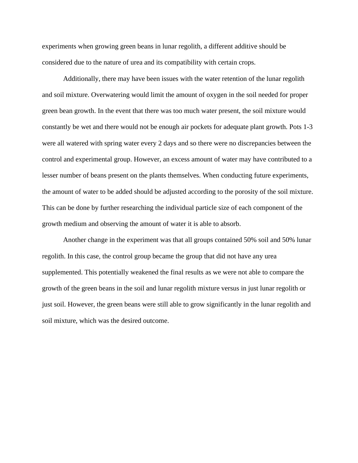experiments when growing green beans in lunar regolith, a different additive should be considered due to the nature of urea and its compatibility with certain crops.

Additionally, there may have been issues with the water retention of the lunar regolith and soil mixture. Overwatering would limit the amount of oxygen in the soil needed for proper green bean growth. In the event that there was too much water present, the soil mixture would constantly be wet and there would not be enough air pockets for adequate plant growth. Pots 1-3 were all watered with spring water every 2 days and so there were no discrepancies between the control and experimental group. However, an excess amount of water may have contributed to a lesser number of beans present on the plants themselves. When conducting future experiments, the amount of water to be added should be adjusted according to the porosity of the soil mixture. This can be done by further researching the individual particle size of each component of the growth medium and observing the amount of water it is able to absorb.

Another change in the experiment was that all groups contained 50% soil and 50% lunar regolith. In this case, the control group became the group that did not have any urea supplemented. This potentially weakened the final results as we were not able to compare the growth of the green beans in the soil and lunar regolith mixture versus in just lunar regolith or just soil. However, the green beans were still able to grow significantly in the lunar regolith and soil mixture, which was the desired outcome.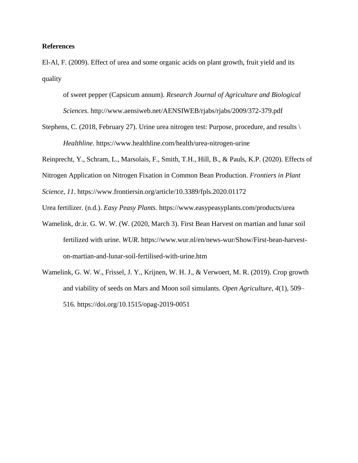#### **References**

El-Al, F. (2009). Effect of urea and some organic acids on plant growth, fruit yield and its quality

of sweet pepper (Capsicum annum). *Research Journal of Agriculture and Biological Sciences.* http://www.aensiweb.net/AENSIWEB/rjabs/rjabs/2009/372-379.pdf

Stephens, C. (2018, February 27). Urine urea nitrogen test: Purpose, procedure, and results \ *Healthline*. https://www.healthline.com/health/urea-nitrogen-urine

Reinprecht, Y., Schram, L., Marsolais, F., Smith, T.H., Hill, B., & Pauls, K.P. (2020). Effects of

Nitrogen Application on Nitrogen Fixation in Common Bean Production. *Frontiers in Plant* 

*Science*, *11*. https://www.frontiersin.org/article/10.3389/fpls.2020.01172

Urea fertilizer. (n.d.). *Easy Peasy Plants*. https://www.easypeasyplants.com/products/urea

- Wamelink, dr.ir. G. W. W. (W. (2020, March 3). First Bean Harvest on martian and lunar soil fertilized with urine. *WUR*. https://www.wur.nl/en/news-wur/Show/First-bean-harveston-martian-and-lunar-soil-fertilised-with-urine.htm
- Wamelink, G. W. W., Frissel, J. Y., Krijnen, W. H. J., & Verwoert, M. R. (2019). Crop growth and viability of seeds on Mars and Moon soil simulants. *Open Agriculture, 4*(1), 509– 516. https://doi.org/10.1515/opag-2019-0051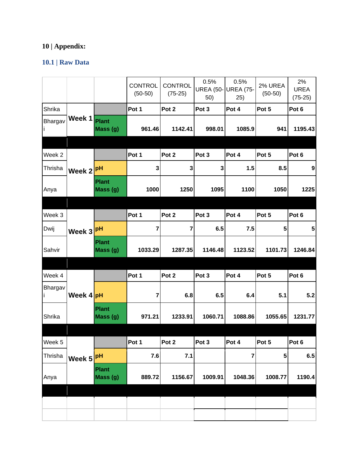# **10 | Appendix:**

# **10.1 | Raw Data**

|         |           |                          | <b>CONTROL</b><br>$(50-50)$ | <b>CONTROL</b><br>$(75-25)$ | 0.5%<br><b>UREA (50-</b><br>50) | 0.5%<br><b>UREA (75-</b><br>25) | 2% UREA<br>$(50-50)$ | 2%<br><b>UREA</b><br>$(75-25)$ |
|---------|-----------|--------------------------|-----------------------------|-----------------------------|---------------------------------|---------------------------------|----------------------|--------------------------------|
| Shrika  |           |                          | Pot 1                       | Pot 2                       | Pot 3                           | Pot 4                           | Pot 5                | Pot 6                          |
| Bhargav | Week 1    | <b>Plant</b><br>Mass (g) | 961.46                      | 1142.41                     | 998.01                          | 1085.9                          | 941                  | 1195.43                        |
|         |           |                          |                             |                             |                                 |                                 |                      |                                |
| Week 2  |           |                          | Pot 1                       | Pot 2                       | Pot 3                           | Pot 4                           | Pot 5                | Pot 6                          |
| Thrisha | Week 2    | pH                       | 3                           | $\mathbf 3$                 | 3                               | 1.5                             | 8.5                  | 9                              |
| Anya    |           | Plant<br>Mass (g)        | 1000                        | 1250                        | 1095                            | 1100                            | 1050                 | 1225                           |
|         |           |                          |                             |                             |                                 |                                 |                      |                                |
| Week 3  |           |                          | Pot 1                       | Pot 2                       | Pot 3                           | Pot 4                           | Pot 5                | Pot 6                          |
| Dwij    | Week 3    | pH                       | 7                           | $\overline{7}$              | 6.5                             | 7.5                             | 5                    | 5                              |
| Sahvir  |           | <b>Plant</b><br>Mass (g) | 1033.29                     | 1287.35                     | 1146.48                         | 1123.52                         | 1101.73              | 1246.84                        |
|         |           |                          |                             |                             |                                 |                                 |                      |                                |
| Week 4  |           |                          | Pot 1                       | Pot 2                       | Pot 3                           | Pot 4                           | Pot 5                | Pot 6                          |
| Bhargav | Week 4 pH |                          | 7                           | 6.8                         | 6.5                             | 6.4                             | 5.1                  | 5.2                            |
| Shrika  |           | <b>Plant</b><br>Mass (g) | 971.21                      | 1233.91                     | 1060.71                         | 1088.86                         | 1055.65              | 1231.77                        |
|         |           |                          |                             |                             |                                 |                                 |                      |                                |
| Week 5  |           |                          | Pot 1                       | Pot 2                       | Pot 3                           | Pot 4                           | Pot 5                | Pot 6                          |
| Thrisha | Week 5    | pH                       | 7.6                         | 7.1                         |                                 | $\overline{\mathbf{r}}$         | 5                    | 6.5                            |
| Anya    |           | Plant<br>Mass (g)        | 889.72                      | 1156.67                     | 1009.91                         | 1048.36                         | 1008.77              | 1190.4                         |
|         |           |                          |                             |                             |                                 |                                 |                      |                                |
|         |           |                          |                             |                             |                                 |                                 |                      |                                |
|         |           |                          |                             |                             |                                 |                                 |                      |                                |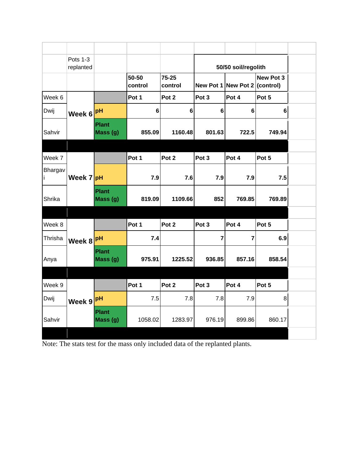|                     | Pots 1-3<br>replanted |                          |                  |                  |                         | 50/50 soil/regolith               |                |  |
|---------------------|-----------------------|--------------------------|------------------|------------------|-------------------------|-----------------------------------|----------------|--|
|                     |                       |                          | 50-50<br>control | 75-25<br>control |                         | New Pot 1 New Pot 2 $ $ (control) | New Pot 3      |  |
| Week 6              |                       |                          | Pot 1            | Pot 2            | Pot 3                   | Pot 4                             | Pot 5          |  |
| Dwij                | Week 6                | pH                       | $6\phantom{1}6$  | $\bf 6$          | 6                       | $6\phantom{1}6$                   | $6\phantom{a}$ |  |
| Sahvir              |                       | <b>Plant</b><br>Mass (g) | 855.09           | 1160.48          | 801.63                  | 722.5                             | 749.94         |  |
|                     |                       |                          |                  |                  |                         |                                   |                |  |
| Week 7              |                       |                          | Pot 1            | Pot 2            | Pot 3                   | Pot 4                             | Pot 5          |  |
| <b>Bhargav</b><br>Ť | Week 7 pH             |                          | 7.9              | 7.6              | 7.9                     | 7.9                               | 7.5            |  |
| Shrika              |                       | <b>Plant</b><br>Mass (g) | 819.09           | 1109.66          | 852                     | 769.85                            | 769.89         |  |
|                     |                       |                          |                  |                  |                         |                                   |                |  |
| Week 8              |                       |                          | Pot 1            | Pot 2            | Pot <sub>3</sub>        | Pot 4                             | Pot 5          |  |
| Thrisha             | Week 8                | pH                       | 7.4              |                  | $\overline{\mathbf{r}}$ | 7                                 | 6.9            |  |
| Anya                |                       | <b>Plant</b><br>Mass (g) | 975.91           | 1225.52          | 936.85                  | 857.16                            | 858.54         |  |
|                     |                       |                          |                  |                  |                         |                                   |                |  |
| Week 9              |                       |                          | Pot 1            | Pot <sub>2</sub> | Pot <sub>3</sub>        | Pot 4                             | Pot 5          |  |
| Dwij                | Week 9                | pH                       | 7.5              | 7.8              | 7.8                     | 7.9                               | 8              |  |
| Sahvir              |                       | <b>Plant</b><br>Mass (g) | 1058.02          | 1283.97          | 976.19                  | 899.86                            | 860.17         |  |
|                     |                       |                          |                  |                  |                         |                                   |                |  |

Note: The stats test for the mass only included data of the replanted plants.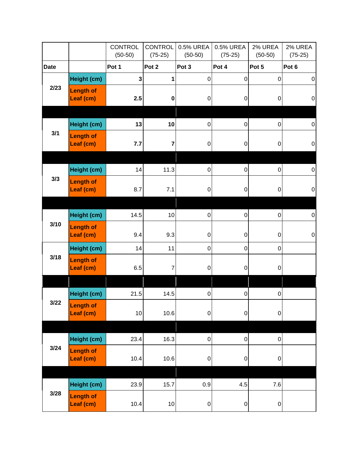|             |                               | <b>CONTROL</b><br>$(50-50)$ | <b>CONTROL</b><br>$(75-25)$ | 0.5% UREA<br>$(50-50)$ | 0.5% UREA<br>$(75-25)$ | 2% UREA<br>$(50-50)$ | 2% UREA<br>$(75-25)$ |
|-------------|-------------------------------|-----------------------------|-----------------------------|------------------------|------------------------|----------------------|----------------------|
| <b>Date</b> |                               | Pot 1                       | Pot 2                       | Pot 3                  | Pot 4                  | Pot 5                | Pot 6                |
|             | Height (cm)                   | 3                           | 1                           | $\mathbf 0$            | $\pmb{0}$              | $\mathbf 0$          | $\boldsymbol{0}$     |
| 2/23        | <b>Length of</b><br>Leaf (cm) | 2.5                         | $\pmb{0}$                   | 0                      | 0                      | 0                    | $\mathbf 0$          |
|             |                               |                             |                             |                        |                        |                      |                      |
|             | Height (cm)                   | 13                          | 10                          | 0                      | $\pmb{0}$              | 0                    | $\pmb{0}$            |
| 3/1         | <b>Length of</b><br>Leaf (cm) | 7.7                         | 7                           | $\boldsymbol{0}$       | $\pmb{0}$              | 0                    | $\pmb{0}$            |
|             |                               |                             |                             |                        |                        |                      |                      |
|             | Height (cm)                   | 14                          | 11.3                        | $\pmb{0}$              | $\pmb{0}$              | 0                    | $\pmb{0}$            |
| 3/3         | <b>Length of</b><br>Leaf (cm) | 8.7                         | 7.1                         | 0                      | 0                      | 0                    | $\pmb{0}$            |
|             |                               |                             |                             |                        |                        |                      |                      |
|             | Height (cm)                   | 14.5                        | 10                          | 0                      | 0                      | 0                    | $\pmb{0}$            |
| 3/10        | <b>Length of</b><br>Leaf (cm) | 9.4                         | 9.3                         | 0                      | $\pmb{0}$              | 0                    | $\pmb{0}$            |
|             | Height (cm)                   | 14                          | 11                          | 0                      | $\pmb{0}$              | 0                    |                      |
| 3/18        | <b>Length of</b><br>Leaf (cm) | 6.5                         | 7                           | 0                      | $\mathbf 0$            | 0                    |                      |
|             |                               |                             |                             |                        |                        |                      |                      |
|             | Height (cm)                   | 21.5                        | 14.5                        | 0                      | $\pmb{0}$              | 0                    |                      |
| 3/22        | <b>Length of</b><br>Leaf (cm) | 10                          | 10.6                        | $\mathbf 0$            | $\mathbf 0$            | $\boldsymbol{0}$     |                      |
|             |                               |                             |                             |                        |                        |                      |                      |
|             | Height (cm)                   | 23.4                        | 16.3                        | $\mathbf 0$            | $\pmb{0}$              | $\mathbf 0$          |                      |
| 3/24        | <b>Length of</b><br>Leaf (cm) | 10.4                        | 10.6                        | $\boldsymbol{0}$       | $\pmb{0}$              | $\boldsymbol{0}$     |                      |
|             | Height (cm)                   | 23.9                        | 15.7                        | 0.9                    | 4.5                    | 7.6                  |                      |
| 3/28        | <b>Length of</b><br>Leaf (cm) | 10.4                        | 10                          | $\pmb{0}$              | $\pmb{0}$              | $\boldsymbol{0}$     |                      |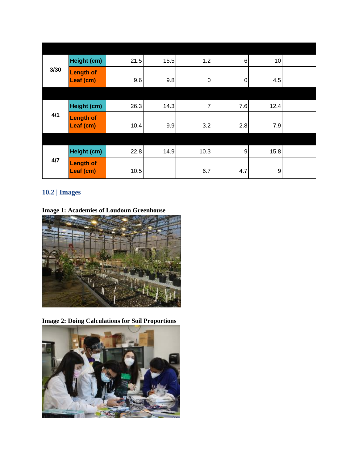|      | Height (cm)                   | 21.5 | 15.5 | 1.2  | $6 \mid$       | 10   |  |
|------|-------------------------------|------|------|------|----------------|------|--|
| 3/30 | Length of<br>Leaf (cm)        | 9.6  | 9.8  | 0    | 0              | 4.5  |  |
|      |                               |      |      |      |                |      |  |
|      | Height (cm)                   | 26.3 | 14.3 | 7    | 7.6            | 12.4 |  |
| 4/1  | <b>Length of</b><br>Leaf (cm) | 10.4 | 9.9  | 3.2  | 2.8            | 7.9  |  |
|      |                               |      |      |      |                |      |  |
|      | Height (cm)                   | 22.8 | 14.9 | 10.3 | $\overline{9}$ | 15.8 |  |
| 4/7  | <b>Length of</b><br>Leaf (cm) | 10.5 |      | 6.7  | 4.7            | 9    |  |

# **10.2 | Images**

**Image 1: Academies of Loudoun Greenhouse**



**Image 2: Doing Calculations for Soil Proportions**

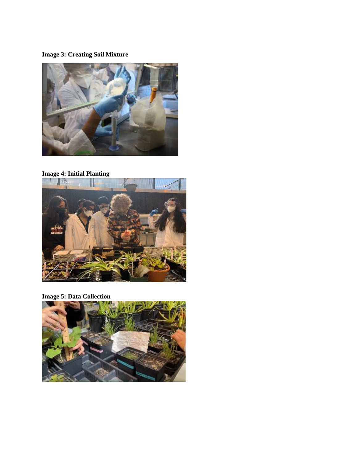## **Image 3: Creating Soil Mixture**



## **Image 4: Initial Planting**



## **Image 5: Data Collection**